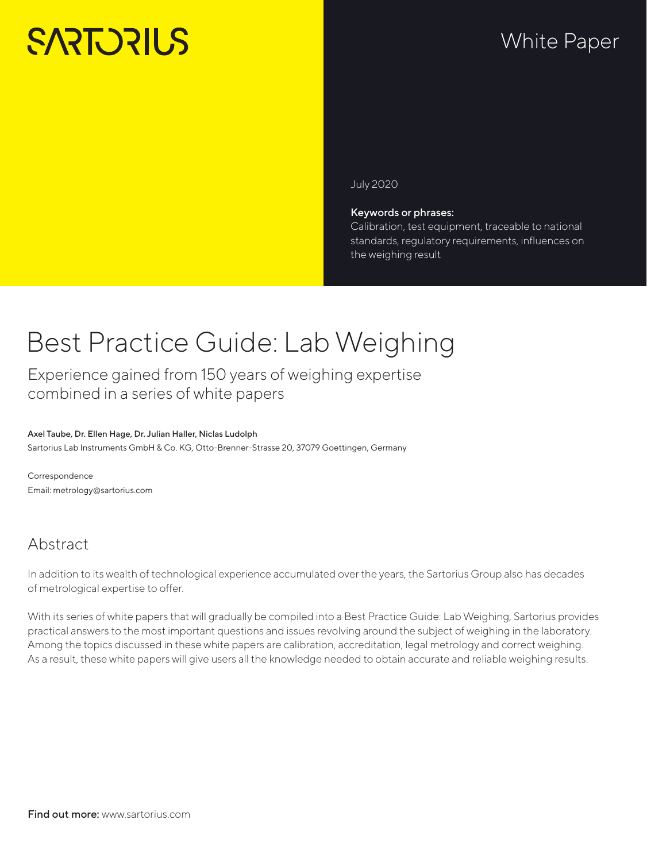# **SARTORILS**

# White Paper

July 2020

#### Keywords or phrases:

Calibration, test equipment, traceable to national standards, regulatory requirements, influences on the weighing result

# Best Practice Guide: Lab Weighing

Experience gained from 150 years of weighing expertise combined in a series of white papers

#### Axel Taube, Dr. Ellen Hage, Dr. Julian Haller, Niclas Ludolph Sartorius Lab Instruments GmbH & Co. KG, Otto-Brenner-Strasse 20, 37079 Goettingen, Germany

Correspondence Email: metrology@sartorius.com

### Abstract

In addition to its wealth of technological experience accumulated over the years, the Sartorius Group also has decades of metrological expertise to offer.

With its series of white papers that will gradually be compiled into a Best Practice Guide: Lab Weighing, Sartorius provides practical answers to the most important questions and issues revolving around the subject of weighing in the laboratory. Among the topics discussed in these white papers are calibration, accreditation, legal metrology and correct weighing. As a result, these white papers will give users all the knowledge needed to obtain accurate and reliable weighing results.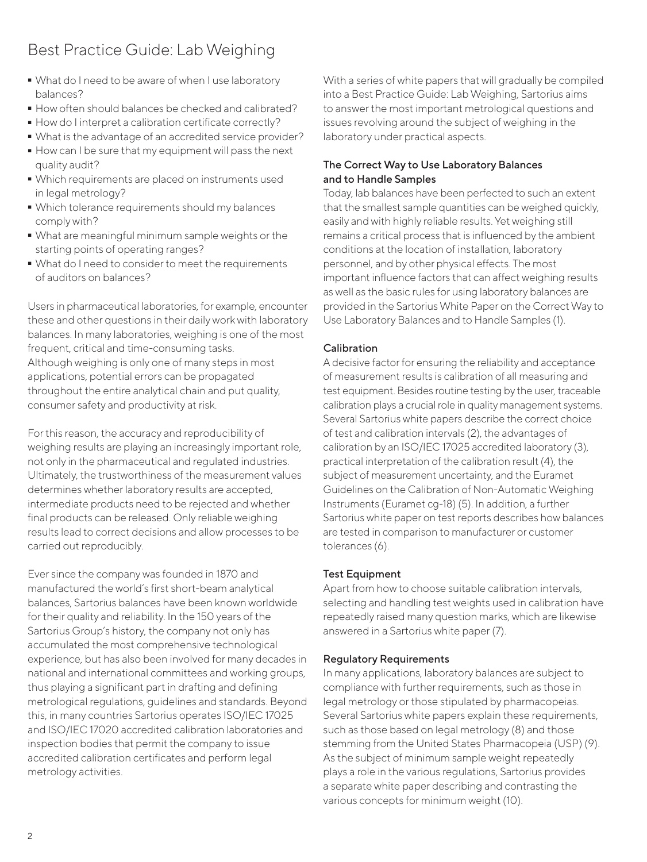## Best Practice Guide: Lab Weighing

- What do I need to be aware of when I use laboratory<br>balances?<br>- How often should balances be checked and calibrated? balances?
- 
- How do I interpret a calibration certificate correctly?
- What is the advantage of an accredited service provider?
- What is the advantage of an accredited service provider?<br>■ How can I be sure that my equipment will pass the next  $\bullet$  How can I be sure that my equipment will pass the next quality audit? quality audit?
- Which requirements are placed on instruments used in legal metrology?
- Which tolerance requirements should my balances comply with?
- What are meaningful minimum sample weights or the starting points of operating ranges?
- What do I need to consider to meet the requirements of auditors on balances?

Users in pharmaceutical laboratories, for example, encounter these and other questions in their daily work with laboratory balances. In many laboratories, weighing is one of the most frequent, critical and time-consuming tasks. Although weighing is only one of many steps in most applications, potential errors can be propagated throughout the entire analytical chain and put quality, consumer safety and productivity at risk.

For this reason, the accuracy and reproducibility of weighing results are playing an increasingly important role, not only in the pharmaceutical and regulated industries. Ultimately, the trustworthiness of the measurement values determines whether laboratory results are accepted, intermediate products need to be rejected and whether final products can be released. Only reliable weighing results lead to correct decisions and allow processes to be carried out reproducibly.

Ever since the company was founded in 1870 and manufactured the world's first short-beam analytical balances, Sartorius balances have been known worldwide for their quality and reliability. In the 150 years of the Sartorius Group's history, the company not only has accumulated the most comprehensive technological experience, but has also been involved for many decades in national and international committees and working groups, thus playing a significant part in drafting and defining metrological regulations, guidelines and standards. Beyond this, in many countries Sartorius operates ISO/IEC 17025 and ISO/IEC 17020 accredited calibration laboratories and inspection bodies that permit the company to issue accredited calibration certificates and perform legal metrology activities.

With a series of white papers that will gradually be compiled into a Best Practice Guide: Lab Weighing, Sartorius aims to answer the most important metrological questions and issues revolving around the subject of weighing in the laboratory under practical aspects.

#### The Correct Way to Use Laboratory Balances and to Handle Samples

Today, lab balances have been perfected to such an extent that the smallest sample quantities can be weighed quickly, easily and with highly reliable results. Yet weighing still remains a critical process that is influenced by the ambient conditions at the location of installation, laboratory personnel, and by other physical effects. The most important influence factors that can affect weighing results as well as the basic rules for using laboratory balances are provided in the Sartorius White Paper on the Correct Way to Use Laboratory Balances and to Handle Samples (1).

#### Calibration

A decisive factor for ensuring the reliability and acceptance of measurement results is calibration of all measuring and test equipment. Besides routine testing by the user, traceable calibration plays a crucial role in quality management systems. Several Sartorius white papers describe the correct choice of test and calibration intervals (2), the advantages of calibration by an ISO/IEC 17025 accredited laboratory (3), practical interpretation of the calibration result (4), the subject of measurement uncertainty, and the Euramet Guidelines on the Calibration of Non-Automatic Weighing Instruments (Euramet cg-18) (5). In addition, a further Sartorius white paper on test reports describes how balances are tested in comparison to manufacturer or customer tolerances (6).

#### Test Equipment

Apart from how to choose suitable calibration intervals, selecting and handling test weights used in calibration have repeatedly raised many question marks, which are likewise answered in a Sartorius white paper (7).

#### Regulatory Requirements

In many applications, laboratory balances are subject to compliance with further requirements, such as those in legal metrology or those stipulated by pharmacopeias. Several Sartorius white papers explain these requirements, such as those based on legal metrology (8) and those stemming from the United States Pharmacopeia (USP) (9). As the subject of minimum sample weight repeatedly plays a role in the various regulations, Sartorius provides a separate white paper describing and contrasting the various concepts for minimum weight (10).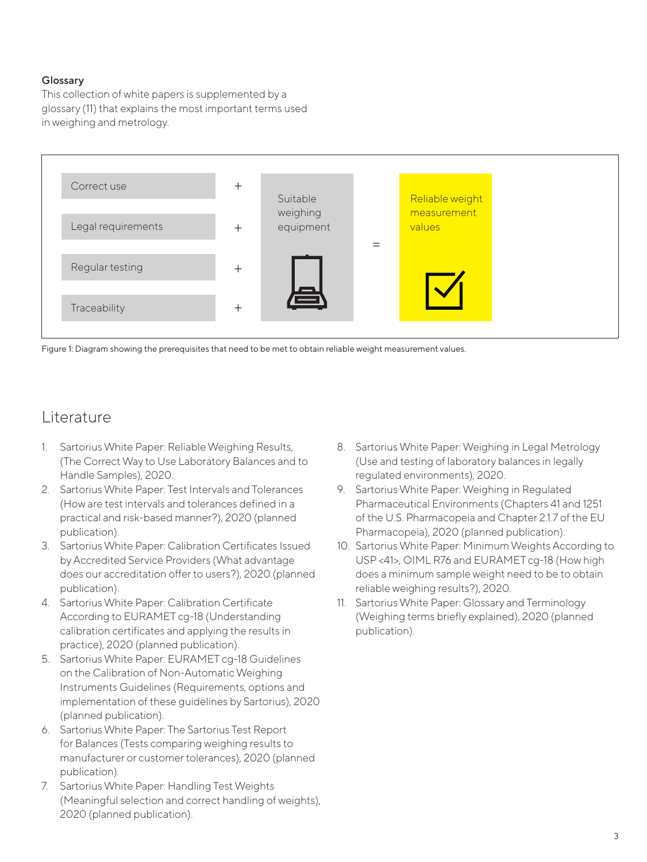#### Glossary

This collection of white papers is supplemented by a glossary (11) that explains the most important terms used in weighing and metrology.



Figure 1: Diagram showing the prerequisites that need to be met to obtain reliable weight measurement values.

### Literature

- 1. Sartorius White Paper: Reliable Weighing Results, (The Correct Way to Use Laboratory Balances and to Handle Samples), 2020.
- 2. Sartorius White Paper: Test Intervals and Tolerances (How are test intervals and tolerances defined in a practical and risk-based manner?), 2020 (planned publication).
- 3. Sartorius White Paper: Calibration Certificates Issued by Accredited Service Providers (What advantage does our accreditation offer to users?), 2020 (planned publication).
- 4. Sartorius White Paper: Calibration Certificate According to EURAMET cg-18 (Understanding calibration certificates and applying the results in practice), 2020 (planned publication).
- 5. Sartorius White Paper: EURAMET cg-18 Guidelines on the Calibration of Non-Automatic Weighing Instruments Guidelines (Requirements, options and [implementation of these guidelines by Sartorius\), 2020](https://www.sartorius.com/en/services/instrument-service/best-practice-guide-metrology-resources)  (planned publication).
- 6. Sartorius White Paper: The Sartorius Test Report for Balances (Tests comparing weighing results to manufacturer or customer tolerances), 2020 (planned publication).
- 7. Sartorius White Paper: Handling Test Weights (Meaningful selection and correct handling of weights), 2020 (planned publication).
- 8. Sartorius White Paper: Weighing in Legal Metrology (Use and testing of laboratory balances in legally regulated environments), 2020.
- 9. Sartorius White Paper: Weighing in Regulated Pharmaceutical Environments (Chapters 41 and 1251 of the U.S. Pharmacopeia and Chapter 2.1.7 of the EU Pharmacopeia), 2020 (planned publication).
- 10. [Sartorius White Paper: Minimum Weights According to](https://www.sartorius.com/en/services/instrument-service/best-practice-guide-metrology-resources)  USP <41>, OIML R76 and EURAMET cg-18 (How high does a minimum sample weight need to be to obtain reliable weighing results?), 2020.
- 11. Sartorius White Paper: Glossary and Terminology (Weighing terms briefly explained), 2020 (planned publication).